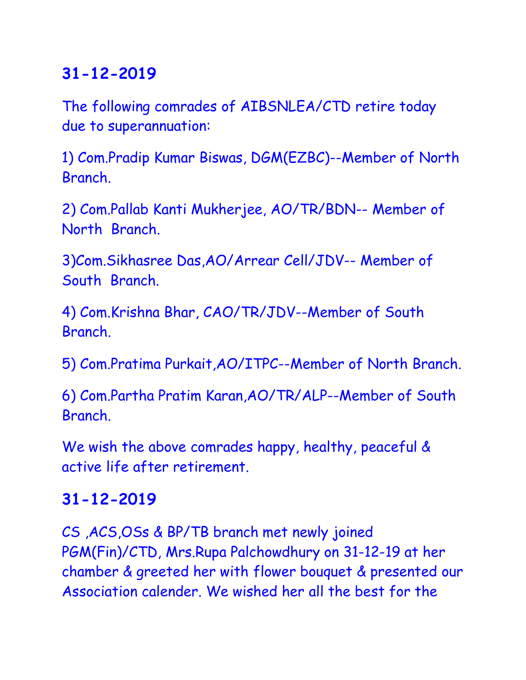# **31-12-2019**

The following comrades of AIBSNLEA/CTD retire today due to superannuation:

1) Com.Pradip Kumar Biswas, DGM(EZBC)--Member of North Branch.

2) Com.Pallab Kanti Mukherjee, AO/TR/BDN-- Member of North Branch.

3)Com.Sikhasree Das,AO/Arrear Cell/JDV-- Member of South Branch.

4) Com.Krishna Bhar, CAO/TR/JDV--Member of South Branch.

5) Com.Pratima Purkait,AO/ITPC--Member of North Branch.

6) Com.Partha Pratim Karan,AO/TR/ALP--Member of South Branch.

We wish the above comrades happy, healthy, peaceful & active life after retirement.

### **31-12-2019**

CS ,ACS,OSs & BP/TB branch met newly joined PGM(Fin)/CTD, Mrs.Rupa Palchowdhury on 31-12-19 at her chamber & greeted her with flower bouquet & presented our Association calender. We wished her all the best for the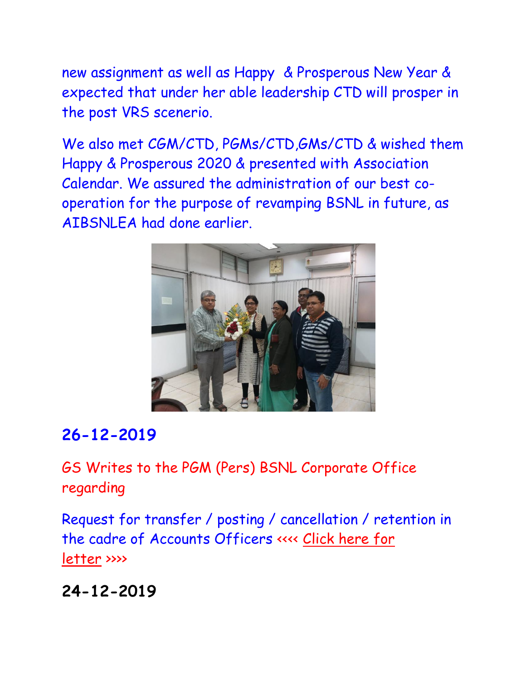new assignment as well as Happy & Prosperous New Year & expected that under her able leadership CTD will prosper in the post VRS scenerio.

We also met CGM/CTD, PGMs/CTD,GMs/CTD & wished them Happy & Prosperous 2020 & presented with Association Calendar. We assured the administration of our best cooperation for the purpose of revamping BSNL in future, as AIBSNLEA had done earlier.



### **26-12-2019**

GS Writes to the PGM (Pers) BSNL Corporate Office regarding

Request for transfer / posting / cancellation / retention in the cadre of Accounts Officers <<<< [Click here for](http://aibsnleawb.org/PGMP_191226.pdf)  [letter](http://aibsnleawb.org/PGMP_191226.pdf) >>>>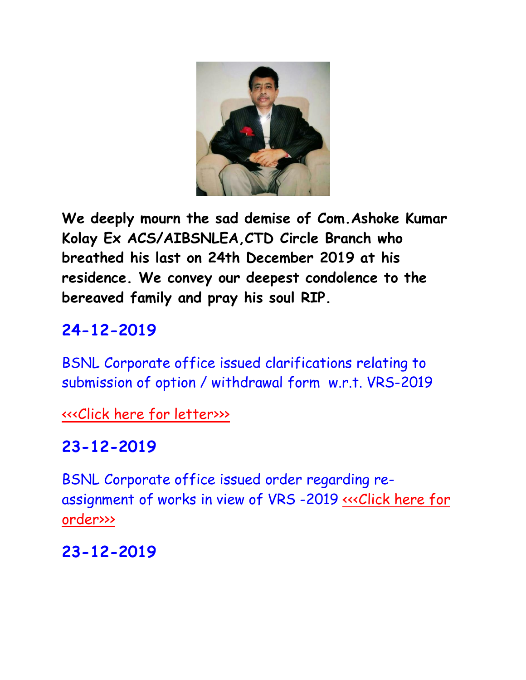

**We deeply mourn the sad demise of Com.Ashoke Kumar Kolay Ex ACS/AIBSNLEA,CTD Circle Branch who breathed his last on 24th December 2019 at his residence. We convey our deepest condolence to the bereaved family and pray his soul RIP.**

# **24-12-2019**

BSNL Corporate office issued clarifications relating to submission of option / withdrawal form w.r.t. VRS-2019

[<<<Click here for letter>>>](http://www.aibsnleachq.in/Mandatory%20Training.pdf)

## **23-12-2019**

BSNL Corporate office issued order regarding reassignment of works in view of VRS -2019 [<<<Click here for](http://www.aibsnleachq.in/Mandatory%20Training.pdf)  [order>>>](http://www.aibsnleachq.in/Re-assignment%20of%20works%20in%20view%20of%20VRS.pdf)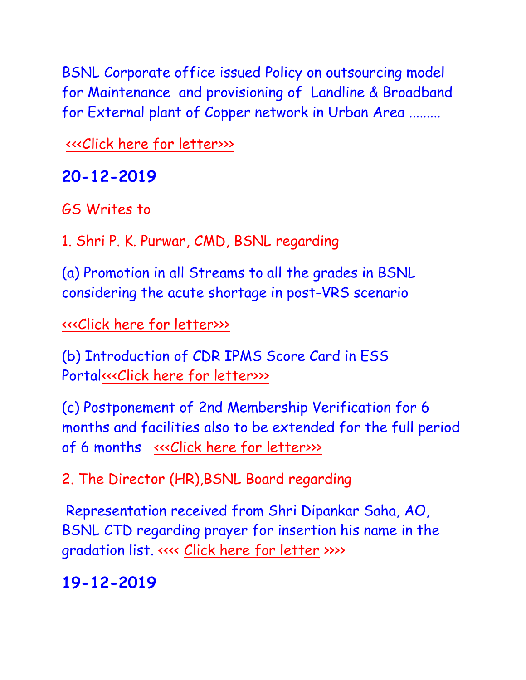BSNL Corporate office issued Policy on outsourcing model for Maintenance and provisioning of Landline & Broadband for External plant of Copper network in Urban Area .........

[<<<Click here for letter>>>](http://www.aibsnleachq.in/Mandatory%20Training.pdf)

### **20-12-2019**

GS Writes to

1. Shri P. K. Purwar, CMD, BSNL regarding

(a) Promotion in all Streams to all the grades in BSNL considering the acute shortage in post-VRS scenario

[<<<Click here for letter>>>](http://www.aibsnleachq.in/Mandatory%20Training.pdf)

(b) Introduction of CDR IPMS Score Card in ESS Porta[l<<<Click here for letter>>>](http://www.aibsnleachq.in/Mandatory%20Training.pdf)

(c) Postponement of 2nd Membership Verification for 6 months and facilities also to be extended for the full period of 6 months [<<<Click here for letter>>>](http://www.aibsnleachq.in/Mandatory%20Training.pdf)

2. The Director (HR),BSNL Board regarding

Representation received from Shri Dipankar Saha, AO, BSNL CTD regarding prayer for insertion his name in the gradation list. <<<< [Click here for letter](http://aibsnleawb.org/DIR%20HR_201219.pdf) >>>>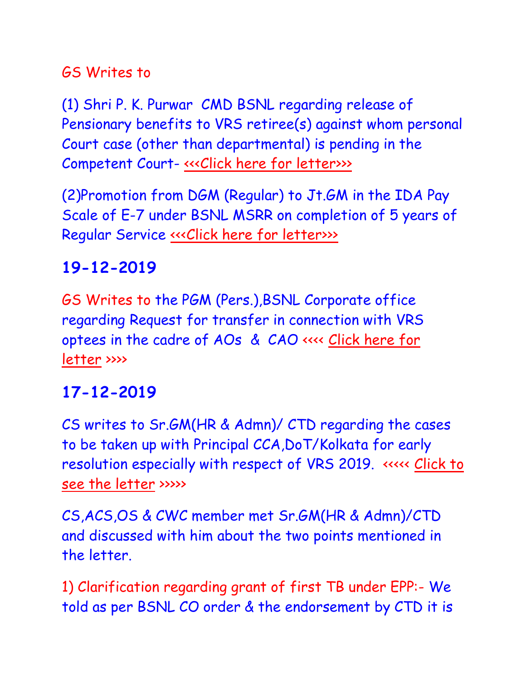### GS Writes to

(1) Shri P. K. Purwar CMD BSNL regarding release of Pensionary benefits to VRS retiree(s) against whom personal Court case (other than departmental) is pending in the Competent Court- <<< Click here for letter>>>>

(2)Promotion from DGM (Regular) to Jt.GM in the IDA Pay Scale of E-7 under BSNL MSRR on completion of 5 years of Regular Service <<< Click here for letter>>>>

# **19-12-2019**

GS Writes to the PGM (Pers.),BSNL Corporate office regarding Request for transfer in connection with VRS optees in the cadre of AOs & CAO <<<< [Click here for](http://aibsnleawb.org/PGMP_191218.pdf)  [letter](http://aibsnleawb.org/PGMP_191218.pdf) >>>>

# **17-12-2019**

CS writes to Sr.GM(HR & Admn)/ CTD regarding the cases to be taken up with Principal CCA,DoT/Kolkata for early resolution especially with respect of VRS 2019. <<<<< [Click to](Sr%20GM%20HR_%20171219.pdf)  [see the letter](Sr%20GM%20HR_%20171219.pdf) >>>>>

CS,ACS,OS & CWC member met Sr.GM(HR & Admn)/CTD and discussed with him about the two points mentioned in the letter.

1) Clarification regarding grant of first TB under EPP:- We told as per BSNL CO order & the endorsement by CTD it is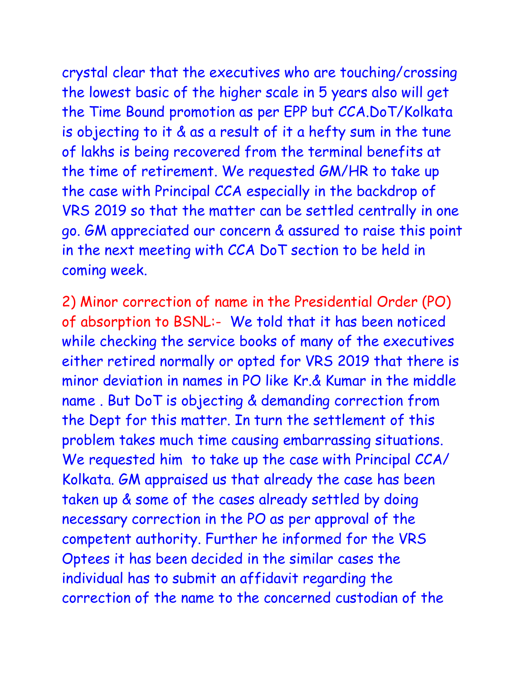crystal clear that the executives who are touching/crossing the lowest basic of the higher scale in 5 years also will get the Time Bound promotion as per EPP but CCA.DoT/Kolkata is objecting to it & as a result of it a hefty sum in the tune of lakhs is being recovered from the terminal benefits at the time of retirement. We requested GM/HR to take up the case with Principal CCA especially in the backdrop of VRS 2019 so that the matter can be settled centrally in one go. GM appreciated our concern & assured to raise this point

in the next meeting with CCA DoT section to be held in coming week.

2) Minor correction of name in the Presidential Order (PO) of absorption to BSNL:- We told that it has been noticed while checking the service books of many of the executives either retired normally or opted for VRS 2019 that there is minor deviation in names in PO like Kr.& Kumar in the middle name . But DoT is objecting & demanding correction from the Dept for this matter. In turn the settlement of this problem takes much time causing embarrassing situations. We requested him to take up the case with Principal CCA/ Kolkata. GM appraised us that already the case has been taken up & some of the cases already settled by doing necessary correction in the PO as per approval of the competent authority. Further he informed for the VRS Optees it has been decided in the similar cases the individual has to submit an affidavit regarding the correction of the name to the concerned custodian of the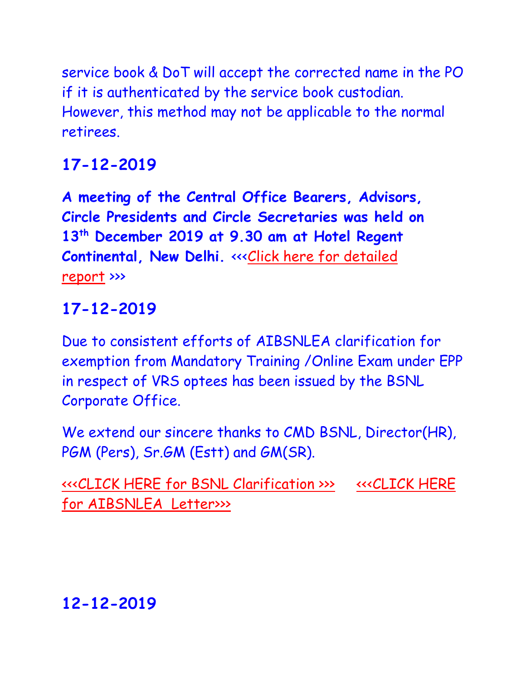service book & DoT will accept the corrected name in the PO if it is authenticated by the service book custodian. However, this method may not be applicable to the normal retirees.

# **17-12-2019**

**A meeting of the Central Office Bearers, Advisors, Circle Presidents and Circle Secretaries was held on 13th December 2019 at 9.30 am at Hotel Regent**  Continental, New Delhi. <<<Click here for detailed [report](http://aibsnleawb.org/Report_13-141219.pdf) >>>

# **17-12-2019**

Due to consistent efforts of AIBSNLEA clarification for exemption from Mandatory Training /Online Exam under EPP in respect of VRS optees has been issued by the BSNL Corporate Office.

We extend our sincere thanks to CMD BSNL, Director(HR), PGM (Pers), Sr.GM (Estt) and GM(SR).

[<<<CLICK HERE for BSNL Clarification >>>](http://www.aibsnleachq.in/Mandatory%20Training.pdf) [<<<CLICK HERE](http://www.aibsnleachq.in/CMD_191217.pdf)  [for AIBSNLEA](http://www.aibsnleachq.in/CMD_191217.pdf) Letter>>>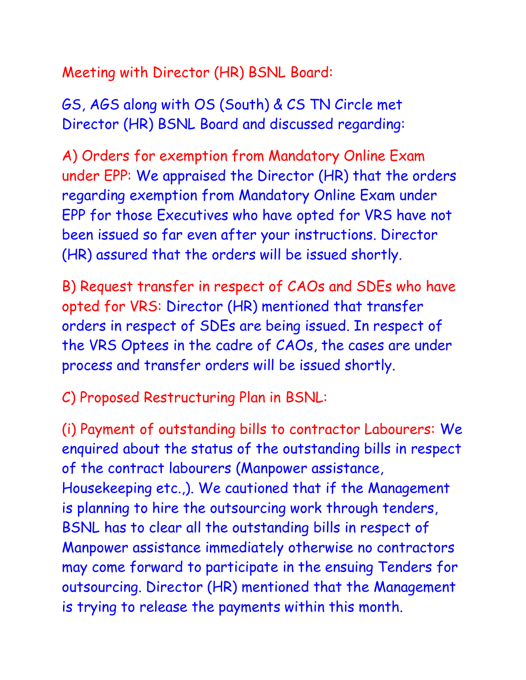Meeting with Director (HR) BSNL Board:

GS, AGS along with OS (South) & CS TN Circle met Director (HR) BSNL Board and discussed regarding:

A) Orders for exemption from Mandatory Online Exam under EPP: We appraised the Director (HR) that the orders regarding exemption from Mandatory Online Exam under EPP for those Executives who have opted for VRS have not been issued so far even after your instructions. Director (HR) assured that the orders will be issued shortly.

B) Request transfer in respect of CAOs and SDEs who have opted for VRS: Director (HR) mentioned that transfer orders in respect of SDEs are being issued. In respect of the VRS Optees in the cadre of CAOs, the cases are under process and transfer orders will be issued shortly.

C) Proposed Restructuring Plan in BSNL:

(i) Payment of outstanding bills to contractor Labourers: We enquired about the status of the outstanding bills in respect of the contract labourers (Manpower assistance, Housekeeping etc.,). We cautioned that if the Management is planning to hire the outsourcing work through tenders, BSNL has to clear all the outstanding bills in respect of Manpower assistance immediately otherwise no contractors may come forward to participate in the ensuing Tenders for outsourcing. Director (HR) mentioned that the Management is trying to release the payments within this month.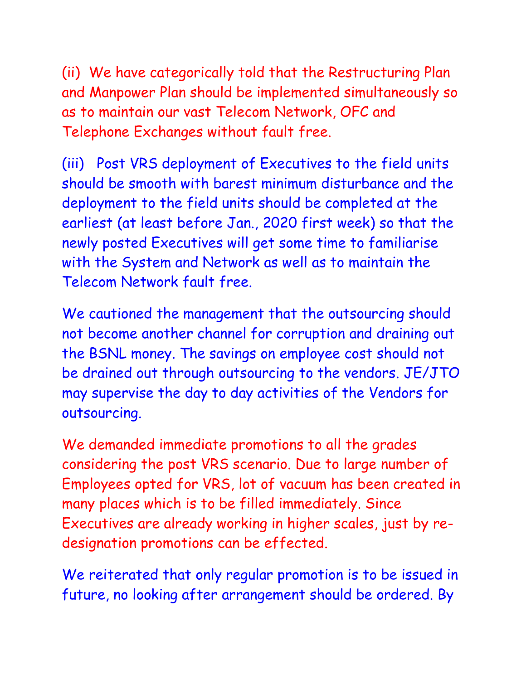(ii) We have categorically told that the Restructuring Plan and Manpower Plan should be implemented simultaneously so as to maintain our vast Telecom Network, OFC and Telephone Exchanges without fault free.

(iii) Post VRS deployment of Executives to the field units should be smooth with barest minimum disturbance and the deployment to the field units should be completed at the earliest (at least before Jan., 2020 first week) so that the newly posted Executives will get some time to familiarise with the System and Network as well as to maintain the Telecom Network fault free.

We cautioned the management that the outsourcing should not become another channel for corruption and draining out the BSNL money. The savings on employee cost should not be drained out through outsourcing to the vendors. JE/JTO may supervise the day to day activities of the Vendors for outsourcing.

We demanded immediate promotions to all the grades considering the post VRS scenario. Due to large number of Employees opted for VRS, lot of vacuum has been created in many places which is to be filled immediately. Since Executives are already working in higher scales, just by redesignation promotions can be effected.

We reiterated that only regular promotion is to be issued in future, no looking after arrangement should be ordered. By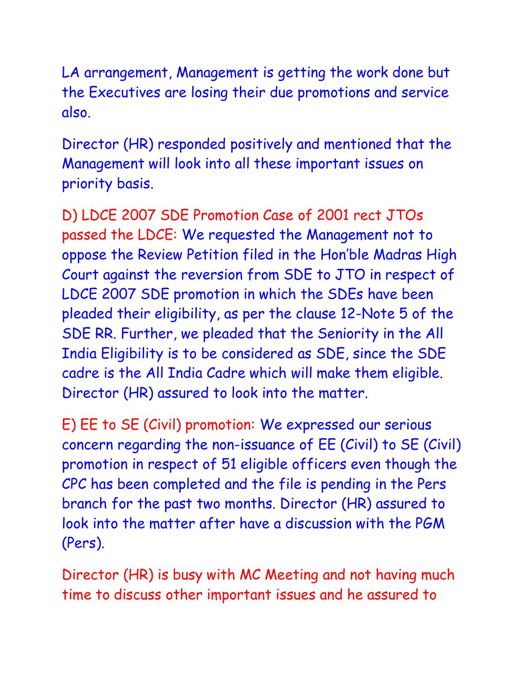LA arrangement, Management is getting the work done but the Executives are losing their due promotions and service also.

Director (HR) responded positively and mentioned that the Management will look into all these important issues on priority basis.

D) LDCE 2007 SDE Promotion Case of 2001 rect JTOs passed the LDCE: We requested the Management not to oppose the Review Petition filed in the Hon'ble Madras High Court against the reversion from SDE to JTO in respect of LDCE 2007 SDE promotion in which the SDEs have been pleaded their eligibility, as per the clause 12-Note 5 of the SDE RR. Further, we pleaded that the Seniority in the All India Eligibility is to be considered as SDE, since the SDE cadre is the All India Cadre which will make them eligible. Director (HR) assured to look into the matter.

E) EE to SE (Civil) promotion: We expressed our serious concern regarding the non-issuance of EE (Civil) to SE (Civil) promotion in respect of 51 eligible officers even though the CPC has been completed and the file is pending in the Pers branch for the past two months. Director (HR) assured to look into the matter after have a discussion with the PGM (Pers).

Director (HR) is busy with MC Meeting and not having much time to discuss other important issues and he assured to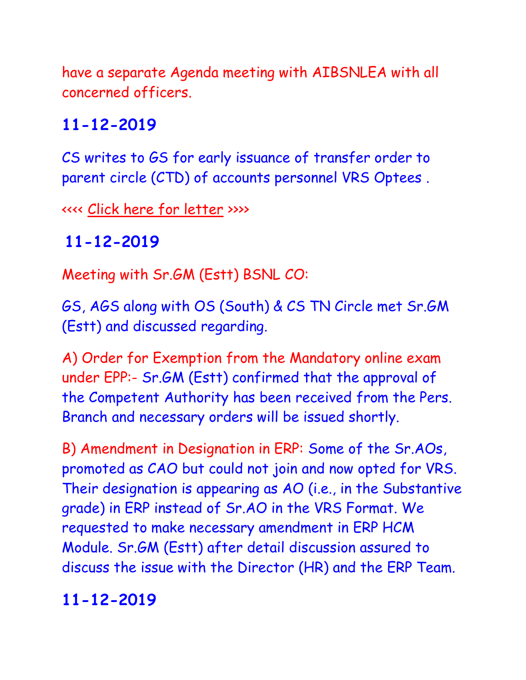have a separate Agenda meeting with AIBSNLEA with all concerned officers.

# **11-12-2019**

CS writes to GS for early issuance of transfer order to parent circle (CTD) of accounts personnel VRS Optees .

<<<< [Click here for letter](http://aibsnleawb.org/GS_111219.pdf) >>>>

# **11-12-2019**

Meeting with Sr.GM (Estt) BSNL CO:

GS, AGS along with OS (South) & CS TN Circle met Sr.GM (Estt) and discussed regarding.

A) Order for Exemption from the Mandatory online exam under EPP:- Sr.GM (Estt) confirmed that the approval of the Competent Authority has been received from the Pers. Branch and necessary orders will be issued shortly.

B) Amendment in Designation in ERP: Some of the Sr.AOs, promoted as CAO but could not join and now opted for VRS. Their designation is appearing as AO (i.e., in the Substantive grade) in ERP instead of Sr.AO in the VRS Format. We requested to make necessary amendment in ERP HCM Module. Sr.GM (Estt) after detail discussion assured to discuss the issue with the Director (HR) and the ERP Team.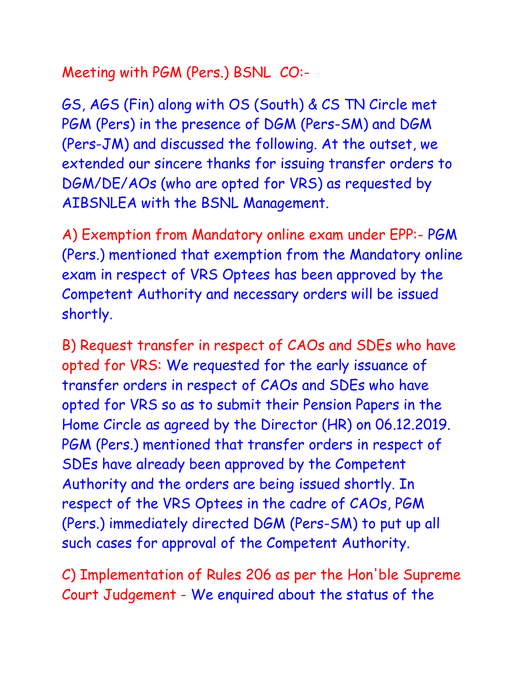Meeting with PGM (Pers.) BSNL CO:-

GS, AGS (Fin) along with OS (South) & CS TN Circle met PGM (Pers) in the presence of DGM (Pers-SM) and DGM (Pers-JM) and discussed the following. At the outset, we extended our sincere thanks for issuing transfer orders to DGM/DE/AOs (who are opted for VRS) as requested by AIBSNLEA with the BSNL Management.

A) Exemption from Mandatory online exam under EPP:- PGM (Pers.) mentioned that exemption from the Mandatory online exam in respect of VRS Optees has been approved by the Competent Authority and necessary orders will be issued shortly.

B) Request transfer in respect of CAOs and SDEs who have opted for VRS: We requested for the early issuance of transfer orders in respect of CAOs and SDEs who have opted for VRS so as to submit their Pension Papers in the Home Circle as agreed by the Director (HR) on 06.12.2019. PGM (Pers.) mentioned that transfer orders in respect of SDEs have already been approved by the Competent Authority and the orders are being issued shortly. In respect of the VRS Optees in the cadre of CAOs, PGM (Pers.) immediately directed DGM (Pers-SM) to put up all such cases for approval of the Competent Authority.

C) Implementation of Rules 206 as per the Hon'ble Supreme Court Judgement - We enquired about the status of the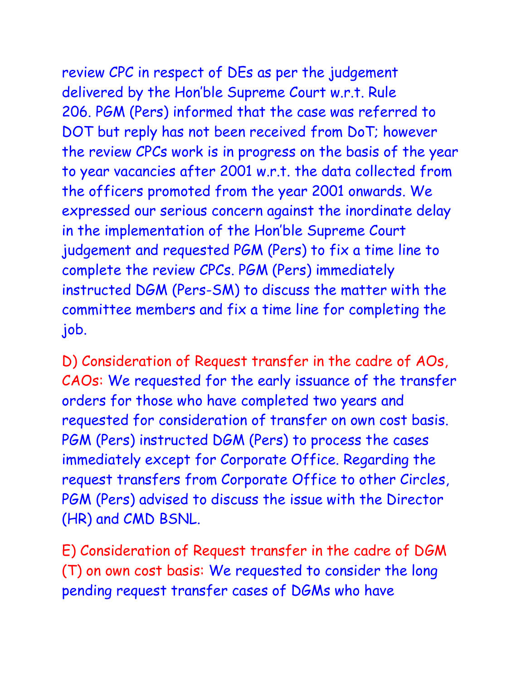review CPC in respect of DEs as per the judgement delivered by the Hon'ble Supreme Court w.r.t. Rule 206. PGM (Pers) informed that the case was referred to DOT but reply has not been received from DoT; however the review CPCs work is in progress on the basis of the year to year vacancies after 2001 w.r.t. the data collected from the officers promoted from the year 2001 onwards. We expressed our serious concern against the inordinate delay in the implementation of the Hon'ble Supreme Court judgement and requested PGM (Pers) to fix a time line to complete the review CPCs. PGM (Pers) immediately instructed DGM (Pers-SM) to discuss the matter with the committee members and fix a time line for completing the job.

D) Consideration of Request transfer in the cadre of AOs, CAOs: We requested for the early issuance of the transfer orders for those who have completed two years and requested for consideration of transfer on own cost basis. PGM (Pers) instructed DGM (Pers) to process the cases immediately except for Corporate Office. Regarding the request transfers from Corporate Office to other Circles, PGM (Pers) advised to discuss the issue with the Director (HR) and CMD BSNL.

E) Consideration of Request transfer in the cadre of DGM (T) on own cost basis: We requested to consider the long pending request transfer cases of DGMs who have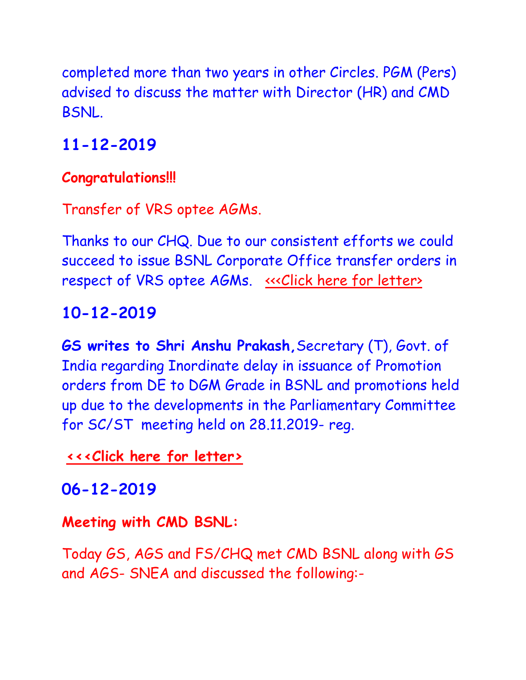completed more than two years in other Circles. PGM (Pers) advised to discuss the matter with Director (HR) and CMD BSNL.

# **11-12-2019**

#### **Congratulations!!!**

Transfer of VRS optee AGMs.

Thanks to our CHQ. Due to our consistent efforts we could succeed to issue BSNL Corporate Office transfer orders in respect of VRS optee AGMs. «< Click here for letter>

# **10-12-2019**

**GS writes to Shri Anshu Prakash,**Secretary (T), Govt. of India regarding Inordinate delay in issuance of Promotion orders from DE to DGM Grade in BSNL and promotions held up due to the developments in the Parliamentary Committee for SC/ST meeting held on 28.11.2019- reg.

**[<<<Click here for letter>](http://www.aibsnleachq.in/CMD_191209.pdf)**

**06-12-2019**

#### **Meeting with CMD BSNL:**

Today GS, AGS and FS/CHQ met CMD BSNL along with GS and AGS- SNEA and discussed the following:-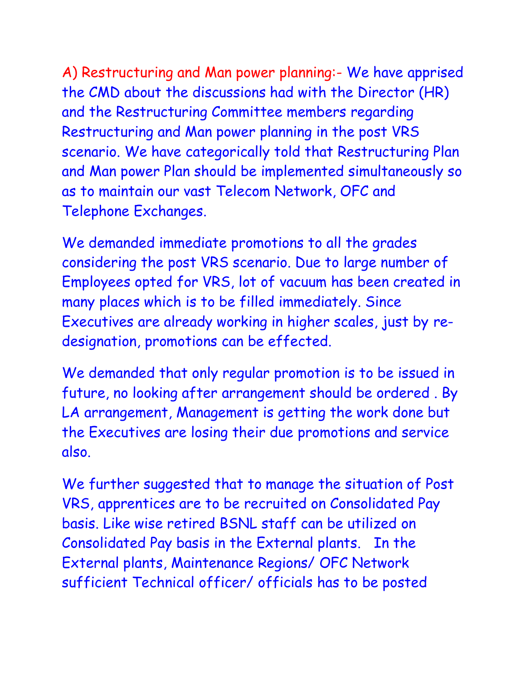A) Restructuring and Man power planning:- We have apprised the CMD about the discussions had with the Director (HR) and the Restructuring Committee members regarding Restructuring and Man power planning in the post VRS scenario. We have categorically told that Restructuring Plan and Man power Plan should be implemented simultaneously so as to maintain our vast Telecom Network, OFC and Telephone Exchanges.

We demanded immediate promotions to all the grades considering the post VRS scenario. Due to large number of Employees opted for VRS, lot of vacuum has been created in many places which is to be filled immediately. Since Executives are already working in higher scales, just by redesignation, promotions can be effected.

We demanded that only regular promotion is to be issued in future, no looking after arrangement should be ordered . By LA arrangement, Management is getting the work done but the Executives are losing their due promotions and service also.

We further suggested that to manage the situation of Post VRS, apprentices are to be recruited on Consolidated Pay basis. Like wise retired BSNL staff can be utilized on Consolidated Pay basis in the External plants. In the External plants, Maintenance Regions/ OFC Network sufficient Technical officer/ officials has to be posted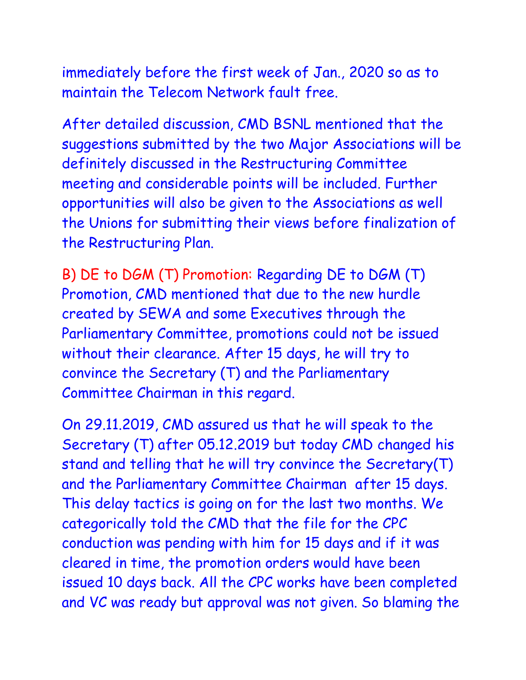immediately before the first week of Jan., 2020 so as to maintain the Telecom Network fault free.

After detailed discussion, CMD BSNL mentioned that the suggestions submitted by the two Major Associations will be definitely discussed in the Restructuring Committee meeting and considerable points will be included. Further opportunities will also be given to the Associations as well the Unions for submitting their views before finalization of the Restructuring Plan.

B) DE to DGM (T) Promotion: Regarding DE to DGM (T) Promotion, CMD mentioned that due to the new hurdle created by SEWA and some Executives through the Parliamentary Committee, promotions could not be issued without their clearance. After 15 days, he will try to convince the Secretary (T) and the Parliamentary Committee Chairman in this regard.

On 29.11.2019, CMD assured us that he will speak to the Secretary (T) after 05.12.2019 but today CMD changed his stand and telling that he will try convince the Secretary(T) and the Parliamentary Committee Chairman after 15 days. This delay tactics is going on for the last two months. We categorically told the CMD that the file for the CPC conduction was pending with him for 15 days and if it was cleared in time, the promotion orders would have been issued 10 days back. All the CPC works have been completed and VC was ready but approval was not given. So blaming the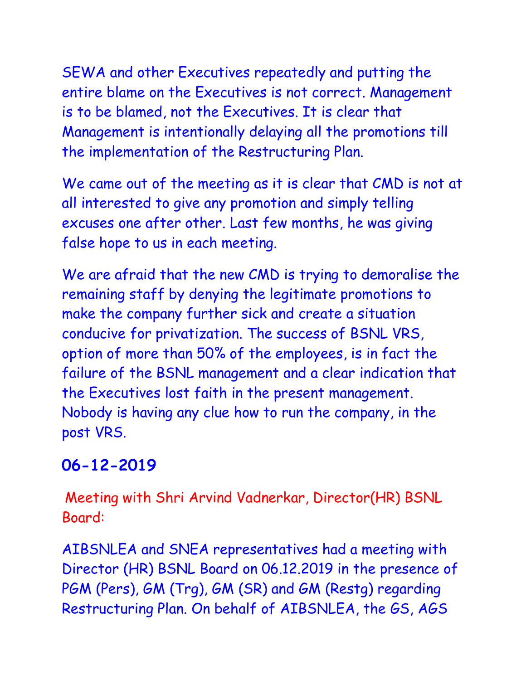SEWA and other Executives repeatedly and putting the entire blame on the Executives is not correct. Management is to be blamed, not the Executives. It is clear that Management is intentionally delaying all the promotions till the implementation of the Restructuring Plan.

We came out of the meeting as it is clear that CMD is not at all interested to give any promotion and simply telling excuses one after other. Last few months, he was giving false hope to us in each meeting.

We are afraid that the new CMD is trying to demoralise the remaining staff by denying the legitimate promotions to make the company further sick and create a situation conducive for privatization. The success of BSNL VRS, option of more than 50% of the employees, is in fact the failure of the BSNL management and a clear indication that the Executives lost faith in the present management. Nobody is having any clue how to run the company, in the post VRS.

## **06-12-2019**

Meeting with Shri Arvind Vadnerkar, Director(HR) BSNL Board:

AIBSNLEA and SNEA representatives had a meeting with Director (HR) BSNL Board on 06.12.2019 in the presence of PGM (Pers), GM (Trg), GM (SR) and GM (Restg) regarding Restructuring Plan. On behalf of AIBSNLEA, the GS, AGS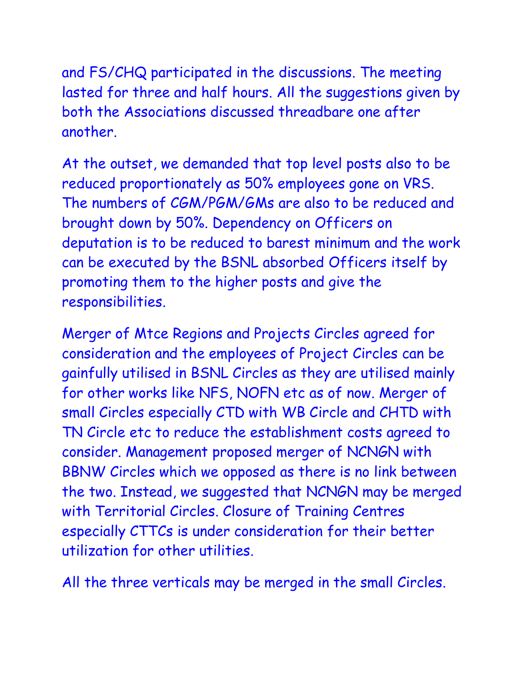and FS/CHQ participated in the discussions. The meeting lasted for three and half hours. All the suggestions given by both the Associations discussed threadbare one after another.

At the outset, we demanded that top level posts also to be reduced proportionately as 50% employees gone on VRS. The numbers of CGM/PGM/GMs are also to be reduced and brought down by 50%. Dependency on Officers on deputation is to be reduced to barest minimum and the work can be executed by the BSNL absorbed Officers itself by promoting them to the higher posts and give the responsibilities.

Merger of Mtce Regions and Projects Circles agreed for consideration and the employees of Project Circles can be gainfully utilised in BSNL Circles as they are utilised mainly for other works like NFS, NOFN etc as of now. Merger of small Circles especially CTD with WB Circle and CHTD with TN Circle etc to reduce the establishment costs agreed to consider. Management proposed merger of NCNGN with BBNW Circles which we opposed as there is no link between the two. Instead, we suggested that NCNGN may be merged with Territorial Circles. Closure of Training Centres especially CTTCs is under consideration for their better utilization for other utilities.

All the three verticals may be merged in the small Circles.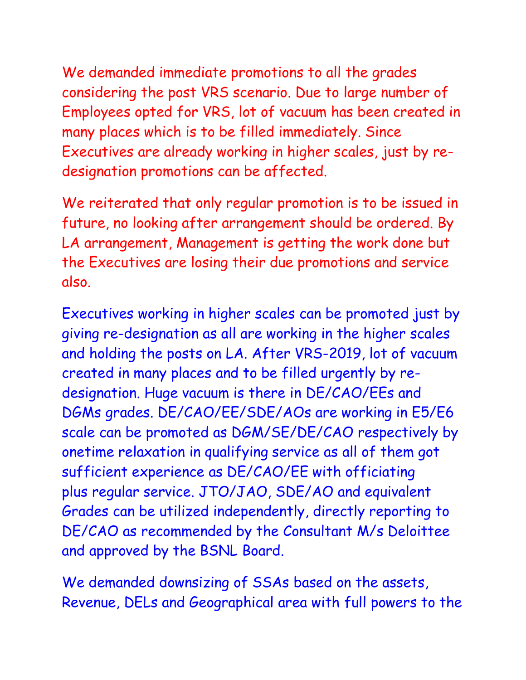We demanded immediate promotions to all the grades considering the post VRS scenario. Due to large number of Employees opted for VRS, lot of vacuum has been created in many places which is to be filled immediately. Since Executives are already working in higher scales, just by redesignation promotions can be affected.

We reiterated that only regular promotion is to be issued in future, no looking after arrangement should be ordered. By LA arrangement, Management is getting the work done but the Executives are losing their due promotions and service also.

Executives working in higher scales can be promoted just by giving re-designation as all are working in the higher scales and holding the posts on LA. After VRS-2019, lot of vacuum created in many places and to be filled urgently by redesignation. Huge vacuum is there in DE/CAO/EEs and DGMs grades. DE/CAO/EE/SDE/AOs are working in E5/E6 scale can be promoted as DGM/SE/DE/CAO respectively by onetime relaxation in qualifying service as all of them got sufficient experience as DE/CAO/EE with officiating plus regular service. JTO/JAO, SDE/AO and equivalent Grades can be utilized independently, directly reporting to DE/CAO as recommended by the Consultant M/s Deloittee and approved by the BSNL Board.

We demanded downsizing of SSAs based on the assets, Revenue, DELs and Geographical area with full powers to the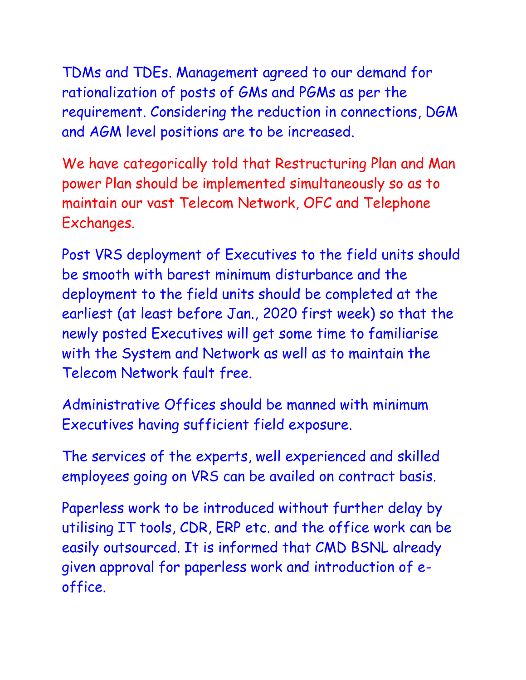TDMs and TDEs. Management agreed to our demand for rationalization of posts of GMs and PGMs as per the requirement. Considering the reduction in connections, DGM and AGM level positions are to be increased.

We have categorically told that Restructuring Plan and Man power Plan should be implemented simultaneously so as to maintain our vast Telecom Network, OFC and Telephone Exchanges.

Post VRS deployment of Executives to the field units should be smooth with barest minimum disturbance and the deployment to the field units should be completed at the earliest (at least before Jan., 2020 first week) so that the newly posted Executives will get some time to familiarise with the System and Network as well as to maintain the Telecom Network fault free.

Administrative Offices should be manned with minimum Executives having sufficient field exposure.

The services of the experts, well experienced and skilled employees going on VRS can be availed on contract basis.

Paperless work to be introduced without further delay by utilising IT tools, CDR, ERP etc. and the office work can be easily outsourced. It is informed that CMD BSNL already given approval for paperless work and introduction of eoffice.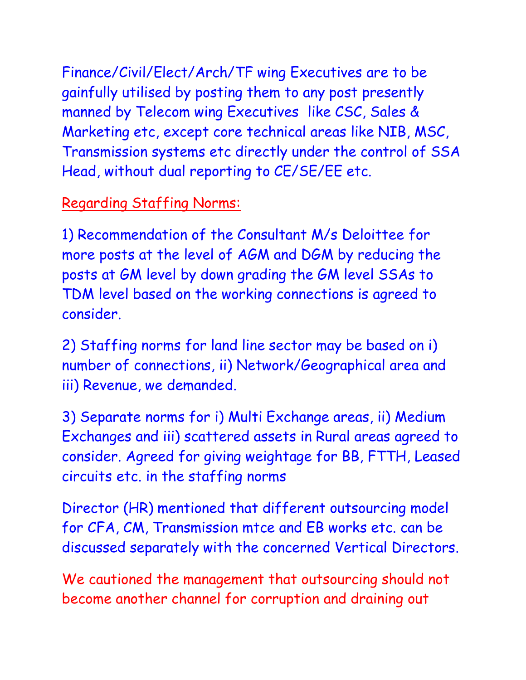Finance/Civil/Elect/Arch/TF wing Executives are to be gainfully utilised by posting them to any post presently manned by Telecom wing Executives like CSC, Sales & Marketing etc, except core technical areas like NIB, MSC, Transmission systems etc directly under the control of SSA Head, without dual reporting to CE/SE/EE etc.

#### Regarding Staffing Norms:

1) Recommendation of the Consultant M/s Deloittee for more posts at the level of AGM and DGM by reducing the posts at GM level by down grading the GM level SSAs to TDM level based on the working connections is agreed to consider.

2) Staffing norms for land line sector may be based on i) number of connections, ii) Network/Geographical area and iii) Revenue, we demanded.

3) Separate norms for i) Multi Exchange areas, ii) Medium Exchanges and iii) scattered assets in Rural areas agreed to consider. Agreed for giving weightage for BB, FTTH, Leased circuits etc. in the staffing norms

Director (HR) mentioned that different outsourcing model for CFA, CM, Transmission mtce and EB works etc. can be discussed separately with the concerned Vertical Directors.

We cautioned the management that outsourcing should not become another channel for corruption and draining out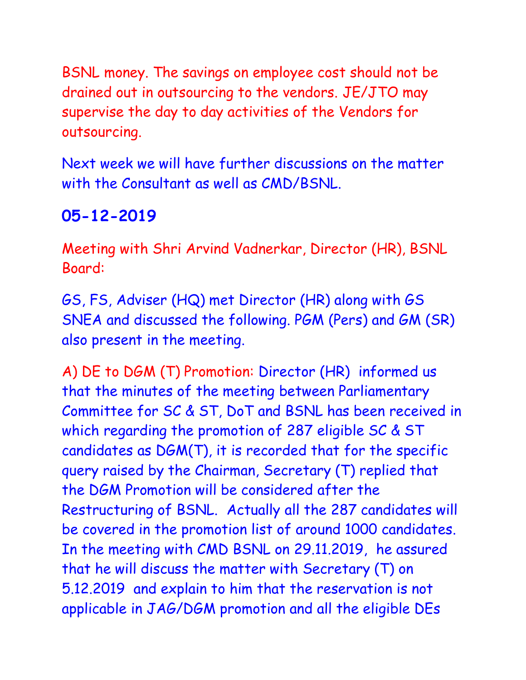BSNL money. The savings on employee cost should not be drained out in outsourcing to the vendors. JE/JTO may supervise the day to day activities of the Vendors for outsourcing.

Next week we will have further discussions on the matter with the Consultant as well as CMD/BSNL.

## **05-12-2019**

Meeting with Shri Arvind Vadnerkar, Director (HR), BSNL Board:

GS, FS, Adviser (HQ) met Director (HR) along with GS SNEA and discussed the following. PGM (Pers) and GM (SR) also present in the meeting.

A) DE to DGM (T) Promotion: Director (HR) informed us that the minutes of the meeting between Parliamentary Committee for SC & ST, DoT and BSNL has been received in which regarding the promotion of 287 eligible SC & ST candidates as DGM(T), it is recorded that for the specific query raised by the Chairman, Secretary (T) replied that the DGM Promotion will be considered after the Restructuring of BSNL. Actually all the 287 candidates will be covered in the promotion list of around 1000 candidates. In the meeting with CMD BSNL on 29.11.2019, he assured that he will discuss the matter with Secretary (T) on 5.12.2019 and explain to him that the reservation is not applicable in JAG/DGM promotion and all the eligible DEs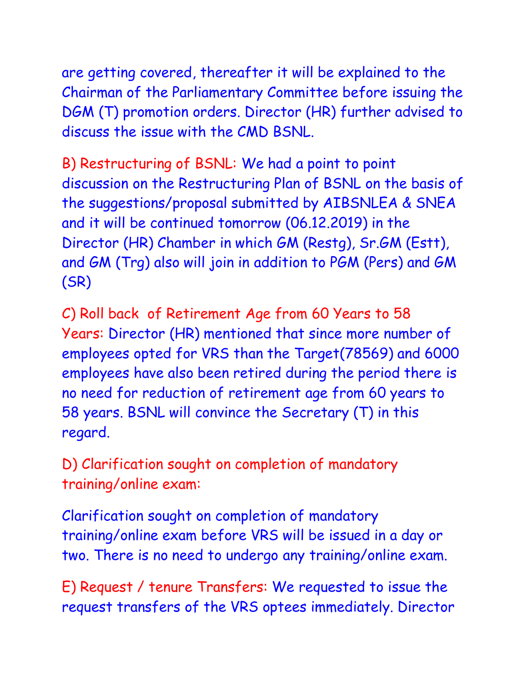are getting covered, thereafter it will be explained to the Chairman of the Parliamentary Committee before issuing the DGM (T) promotion orders. Director (HR) further advised to discuss the issue with the CMD BSNL.

B) Restructuring of BSNL: We had a point to point discussion on the Restructuring Plan of BSNL on the basis of the suggestions/proposal submitted by AIBSNLEA & SNEA and it will be continued tomorrow (06.12.2019) in the Director (HR) Chamber in which GM (Restg), Sr.GM (Estt), and GM (Trg) also will join in addition to PGM (Pers) and GM (SR)

C) Roll back of Retirement Age from 60 Years to 58 Years: Director (HR) mentioned that since more number of employees opted for VRS than the Target(78569) and 6000 employees have also been retired during the period there is no need for reduction of retirement age from 60 years to 58 years. BSNL will convince the Secretary (T) in this regard.

D) Clarification sought on completion of mandatory training/online exam:

Clarification sought on completion of mandatory training/online exam before VRS will be issued in a day or two. There is no need to undergo any training/online exam.

E) Request / tenure Transfers: We requested to issue the request transfers of the VRS optees immediately. Director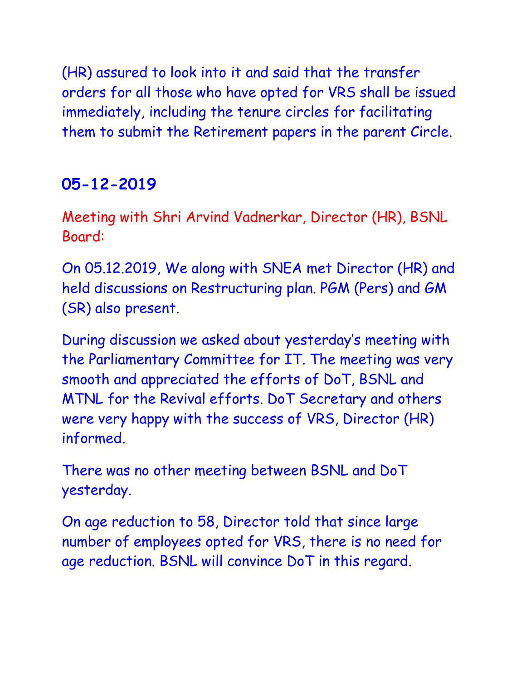(HR) assured to look into it and said that the transfer orders for all those who have opted for VRS shall be issued immediately, including the tenure circles for facilitating them to submit the Retirement papers in the parent Circle.

## **05-12-2019**

Meeting with Shri Arvind Vadnerkar, Director (HR), BSNL Board:

On 05.12.2019, We along with SNEA met Director (HR) and held discussions on Restructuring plan. PGM (Pers) and GM (SR) also present.

During discussion we asked about yesterday's meeting with the Parliamentary Committee for IT. The meeting was very smooth and appreciated the efforts of DoT, BSNL and MTNL for the Revival efforts. DoT Secretary and others were very happy with the success of VRS, Director (HR) informed.

There was no other meeting between BSNL and DoT yesterday.

On age reduction to 58, Director told that since large number of employees opted for VRS, there is no need for age reduction. BSNL will convince DoT in this regard.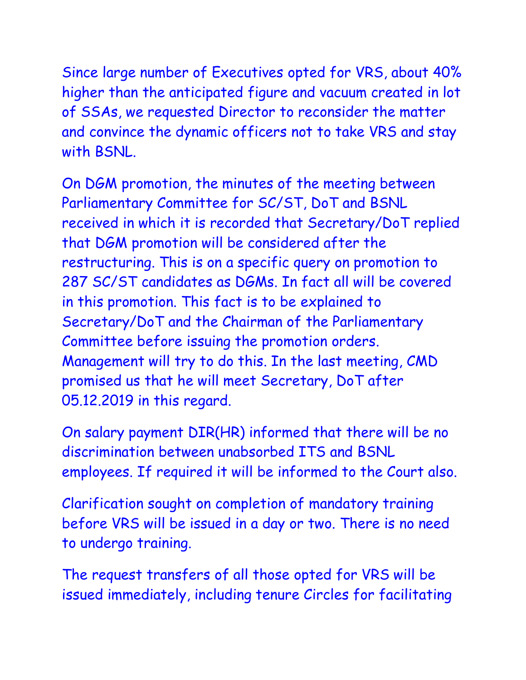Since large number of Executives opted for VRS, about 40% higher than the anticipated figure and vacuum created in lot of SSAs, we requested Director to reconsider the matter and convince the dynamic officers not to take VRS and stay with BSNL.

On DGM promotion, the minutes of the meeting between Parliamentary Committee for SC/ST, DoT and BSNL received in which it is recorded that Secretary/DoT replied that DGM promotion will be considered after the restructuring. This is on a specific query on promotion to 287 SC/ST candidates as DGMs. In fact all will be covered in this promotion. This fact is to be explained to Secretary/DoT and the Chairman of the Parliamentary Committee before issuing the promotion orders. Management will try to do this. In the last meeting, CMD promised us that he will meet Secretary, DoT after 05.12.2019 in this regard.

On salary payment DIR(HR) informed that there will be no discrimination between unabsorbed ITS and BSNL employees. If required it will be informed to the Court also.

Clarification sought on completion of mandatory training before VRS will be issued in a day or two. There is no need to undergo training.

The request transfers of all those opted for VRS will be issued immediately, including tenure Circles for facilitating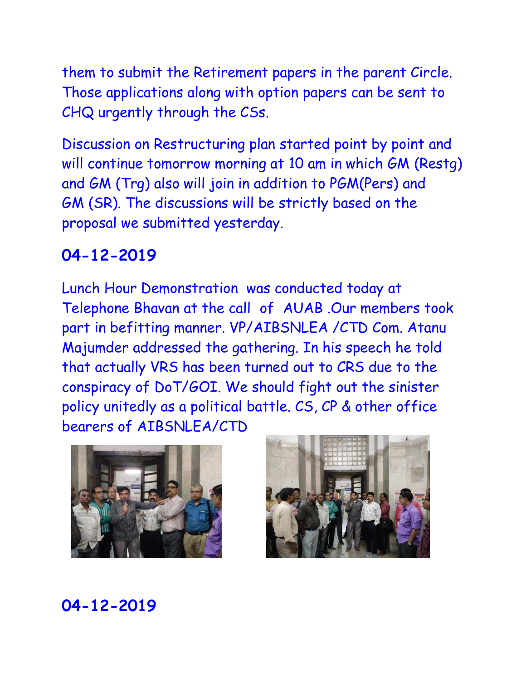them to submit the Retirement papers in the parent Circle. Those applications along with option papers can be sent to CHQ urgently through the CSs.

Discussion on Restructuring plan started point by point and will continue tomorrow morning at 10 am in which GM (Restg) and GM (Trg) also will join in addition to PGM(Pers) and GM (SR). The discussions will be strictly based on the proposal we submitted yesterday.

#### **04-12-2019**

Lunch Hour Demonstration was conducted today at Telephone Bhavan at the call of AUAB .Our members took part in befitting manner. VP/AIBSNLEA /CTD Com. Atanu Majumder addressed the gathering. In his speech he told that actually VRS has been turned out to CRS due to the conspiracy of DoT/GOI. We should fight out the sinister policy unitedly as a political battle. CS, CP & other office bearers of AIBSNLEA/CTD



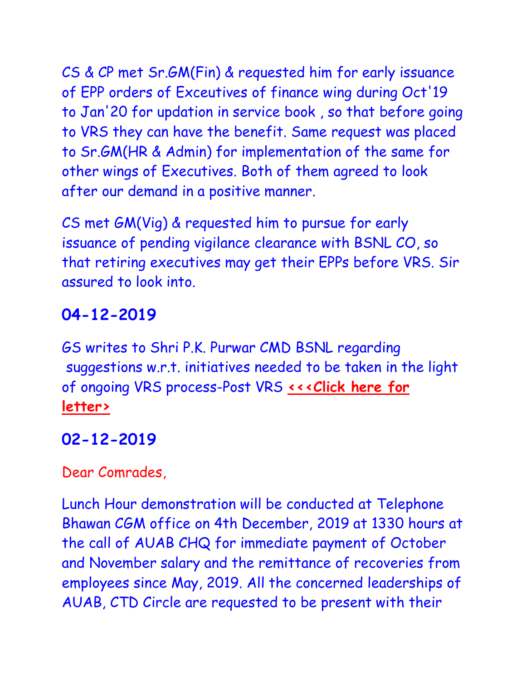CS & CP met Sr.GM(Fin) & requested him for early issuance of EPP orders of Exceutives of finance wing during Oct'19 to Jan'20 for updation in service book , so that before going to VRS they can have the benefit. Same request was placed to Sr.GM(HR & Admin) for implementation of the same for other wings of Executives. Both of them agreed to look after our demand in a positive manner.

CS met GM(Vig) & requested him to pursue for early issuance of pending vigilance clearance with BSNL CO, so that retiring executives may get their EPPs before VRS. Sir assured to look into.

# **04-12-2019**

GS writes to Shri P.K. Purwar CMD BSNL regarding suggestions w.r.t. initiatives needed to be taken in the light of ongoing VRS process-Post VRS <<< Click here for **[letter>](http://www.aibsnleachq.in/CMD04122019.pdf)**

## **02-12-2019**

Dear Comrades,

Lunch Hour demonstration will be conducted at Telephone Bhawan CGM office on 4th December, 2019 at 1330 hours at the call of AUAB CHQ for immediate payment of October and November salary and the remittance of recoveries from employees since May, 2019. All the concerned leaderships of AUAB, CTD Circle are requested to be present with their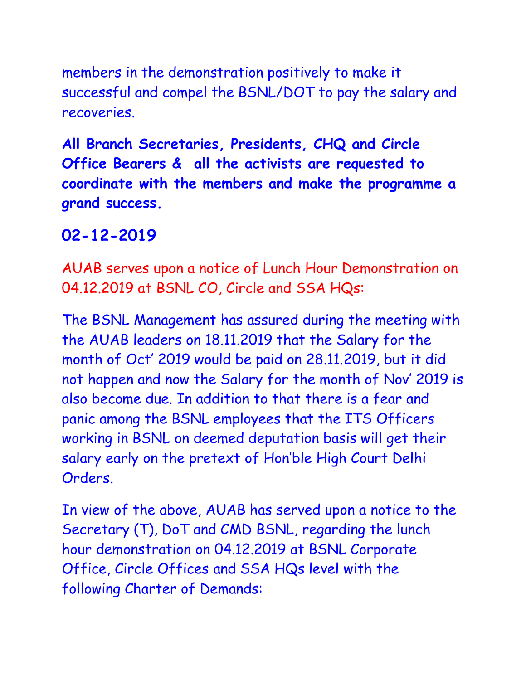members in the demonstration positively to make it successful and compel the BSNL/DOT to pay the salary and recoveries.

**All Branch Secretaries, Presidents, CHQ and Circle Office Bearers & all the activists are requested to coordinate with the members and make the programme a grand success.**

#### **02-12-2019**

AUAB serves upon a notice of Lunch Hour Demonstration on 04.12.2019 at BSNL CO, Circle and SSA HQs:

The BSNL Management has assured during the meeting with the AUAB leaders on 18.11.2019 that the Salary for the month of Oct' 2019 would be paid on 28.11.2019, but it did not happen and now the Salary for the month of Nov' 2019 is also become due. In addition to that there is a fear and panic among the BSNL employees that the ITS Officers working in BSNL on deemed deputation basis will get their salary early on the pretext of Hon'ble High Court Delhi Orders.

In view of the above, AUAB has served upon a notice to the Secretary (T), DoT and CMD BSNL, regarding the lunch hour demonstration on 04.12.2019 at BSNL Corporate Office, Circle Offices and SSA HQs level with the following Charter of Demands: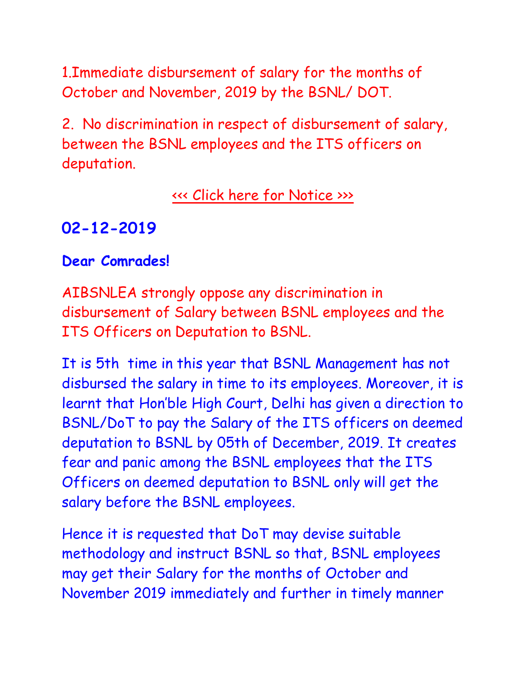1.Immediate disbursement of salary for the months of October and November, 2019 by the BSNL/ DOT.

2. No discrimination in respect of disbursement of salary, between the BSNL employees and the ITS officers on deputation.

### [<<< Click here for Notice >>>](http://www.aibsnleachq.in/New%20Doc%202019-12-02%2015.25%20(6).43.pdf)

## **02-12-2019**

#### **Dear Comrades!**

AIBSNLEA strongly oppose any discrimination in disbursement of Salary between BSNL employees and the ITS Officers on Deputation to BSNL.

It is 5th time in this year that BSNL Management has not disbursed the salary in time to its employees. Moreover, it is learnt that Hon'ble High Court, Delhi has given a direction to BSNL/DoT to pay the Salary of the ITS officers on deemed deputation to BSNL by 05th of December, 2019. It creates fear and panic among the BSNL employees that the ITS Officers on deemed deputation to BSNL only will get the salary before the BSNL employees.

Hence it is requested that DoT may devise suitable methodology and instruct BSNL so that, BSNL employees may get their Salary for the months of October and November 2019 immediately and further in timely manner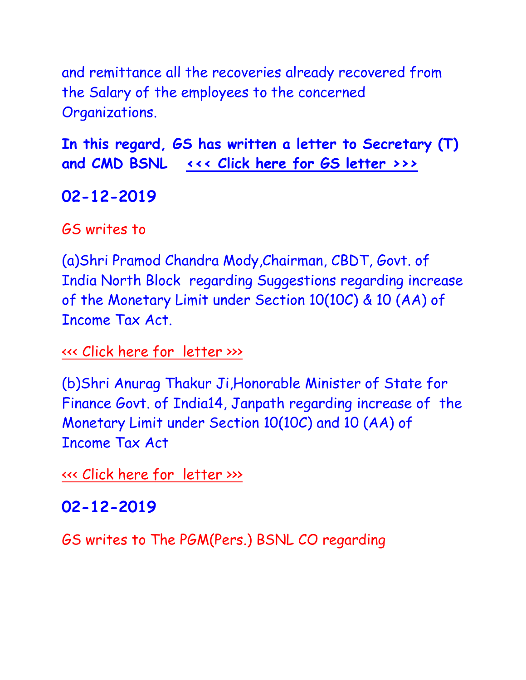and remittance all the recoveries already recovered from the Salary of the employees to the concerned Organizations.

**In this regard, GS has written a letter to Secretary (T) and CMD BSNL [<<< Click here for GS letter >>>](http://www.aibsnleachq.in/CMD_191202.pdf)**

# **02-12-2019**

GS writes to

(a)Shri Pramod Chandra Mody,Chairman, CBDT, Govt. of India North Block regarding Suggestions regarding increase of the Monetary Limit under Section 10(10C) & 10 (AA) of Income Tax Act.

[<<< Click here for](http://www.aibsnleachq.in/PCM_191202_1.pdf) letter >>>

(b)Shri Anurag Thakur Ji,Honorable Minister of State for Finance Govt. of India14, Janpath regarding increase of the Monetary Limit under Section 10(10C) and 10 (AA) of Income Tax Act

[<<< Click here for](http://www.aibsnleachq.in/AT_191202.pdf) letter >>>

# **02-12-2019**

GS writes to The PGM(Pers.) BSNL CO regarding